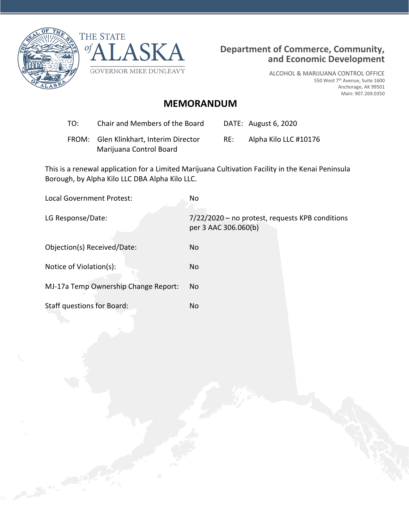



ALCOHOL & MARIJUANA CONTROL OFFICE 550 West 7th Avenue, Suite 1600 Anchorage, AK 99501 Main: 907.269.0350

## **MEMORANDUM**

- TO: Chair and Members of the Board DATE: August 6, 2020
- FROM: Glen Klinkhart, Interim Director Marijuana Control Board RE: Alpha Kilo LLC #10176

This is a renewal application for a Limited Marijuana Cultivation Facility in the Kenai Peninsula Borough, by Alpha Kilo LLC DBA Alpha Kilo LLC.

| Local Government Protest:            | No                                                                      |
|--------------------------------------|-------------------------------------------------------------------------|
| LG Response/Date:                    | 7/22/2020 - no protest, requests KPB conditions<br>per 3 AAC 306.060(b) |
| Objection(s) Received/Date:          | No                                                                      |
| Notice of Violation(s):              | No                                                                      |
| MJ-17a Temp Ownership Change Report: | No.                                                                     |
| Staff questions for Board:           | No                                                                      |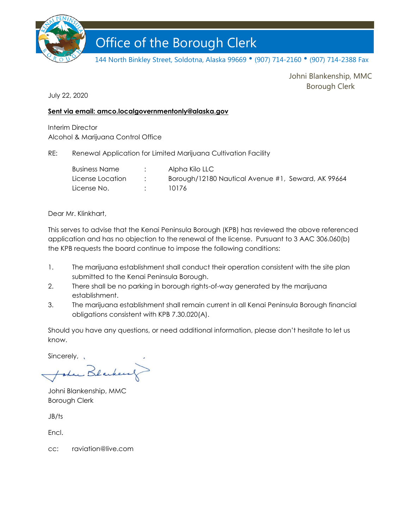

# Office of the Borough Clerk Office of the Borough Clerk

144 North Binkley Street, Soldotna, Alaska 99669 • (907) 714-2160 • (907) 714-2388 Fax

Johni Blankenship, MMC Borough Clerk

July 22, 2020

#### **Sent via email: amco.localgovernmentonly@alaska.gov**

Interim Director Alcohol & Marijuana Control Office

RE: Renewal Application for Limited Marijuana Cultivation Facility

| Business Name    | Alpha Kilo LLC                                     |
|------------------|----------------------------------------------------|
| License Location | Borough/12180 Nautical Avenue #1, Seward, AK 99664 |
| License No.      | 10176                                              |

Dear Mr. Klinkhart,

This serves to advise that the Kenai Peninsula Borough (KPB) has reviewed the above referenced application and has no objection to the renewal of the license. Pursuant to 3 AAC 306.060(b) the KPB requests the board continue to impose the following conditions:

- 1. The marijuana establishment shall conduct their operation consistent with the site plan submitted to the Kenai Peninsula Borough.
- 2. There shall be no parking in borough rights-of-way generated by the marijuana establishment.
- 3. The marijuana establishment shall remain current in all Kenai Peninsula Borough financial obligations consistent with KPB 7.30.020(A).

Should you have any questions, or need additional information, please don't hesitate to let us know.

Sincerely, ,

Lu Blacke

Johni Blankenship, MMC Borough Clerk

JB/ts

Encl.

cc: raviation@live.com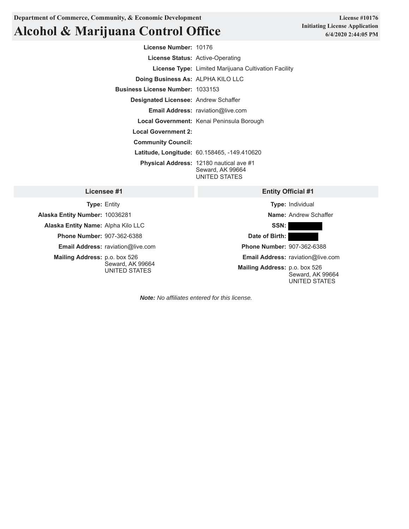**Department of Commerce, Community, & Economic Development**

## **Alcohol & Marijuana Control Office**

**License #10176 Initiating License Application 6/4/2020 2:44:05 PM**

**License Number:** 10176 **License Status:** Active-Operating **License Type:** Limited Marijuana Cultivation Facility **Doing Business As:** ALPHA KILO LLC **Business License Number:** 1033153 **Designated Licensee:** Andrew Schaffer **Email Address:** raviation@live.com **Local Government:** Kenai Peninsula Borough **Local Government 2: Community Council: Latitude, Longitude:** 60.158465, -149.410620 **Physical Address:** 12180 nautical ave #1 Seward, AK 99664 UNITED STATES

#### **Licensee #1**

**Type:** Entity **Alaska Entity Number:** 10036281 **Alaska Entity Name:** Alpha Kilo LLC **Phone Number:** 907-362-6388 **Email Address:** raviation@live.com **Mailing Address:** p.o. box 526 Seward, AK 99664 UNITED STATES

#### **Entity Official #1**

**Type:** Individual **Name:** Andrew Schaffer **SSN: Date of Birth: Phone Number:** 907-362-6388 **Email Address:** raviation@live.com **Mailing Address:** p.o. box 526

Seward, AK 99664 UNITED STATES

*Note: No affiliates entered for this license.*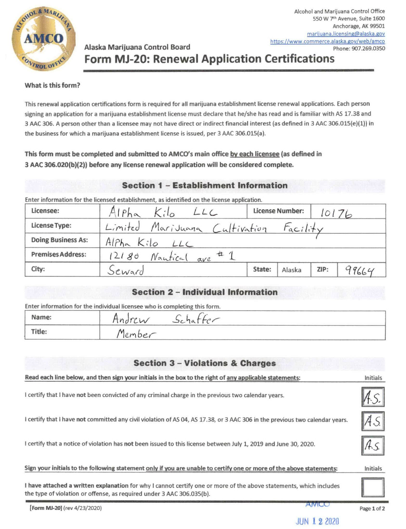

## Alaska Marijuana Control Board **Form MJ-20: Renewal Application Certifications**

#### What is this form?

This renewal application certifications form is required for all marijuana establishment license renewal applications. Each person signing an application for a marijuana establishment license must declare that he/she has read and is familiar with AS 17.38 and 3 AAC 306. A person other than a licensee may not have direct or indirect financial interest (as defined in 3 AAC 306.015(e)(1)) in the business for which a marijuana establishment license is issued, per 3 AAC 306.015(a).

## This form must be completed and submitted to AMCO's main office by each licensee (as defined in 3 AAC 306.020(b)(2)) before any license renewal application will be considered complete.

## **Section 1 - Establishment Information**

Enter information for the licensed establishment, as identified on the license application.

| Licensee:                 | Alpha<br>Kilo<br>LLC                   | <b>License Number:</b> |        | 10176 |       |
|---------------------------|----------------------------------------|------------------------|--------|-------|-------|
| <b>License Type:</b>      | Limited Marijuana Cultivation Facility |                        |        |       |       |
| <b>Doing Business As:</b> | Alpha Kilo LLC                         |                        |        |       |       |
| <b>Premises Address:</b>  | 12180 Nautical are # 1                 |                        |        |       |       |
| City:                     | Seward                                 | State:                 | Alaska | ZIP:  | 99664 |

## **Section 2 - Individual Information**

Enter information for the individual licensee who is completing this form.

| Name:  | Hndrew<br>Sc |
|--------|--------------|
| Title: | Member       |

## **Section 3 - Violations & Charges**

| Read each line below, and then sign your initials in the box to the right of any applicable statements:                                                                                     | Initials        |
|---------------------------------------------------------------------------------------------------------------------------------------------------------------------------------------------|-----------------|
| I certify that I have not been convicted of any criminal charge in the previous two calendar years.                                                                                         |                 |
| I certify that I have not committed any civil violation of AS 04, AS 17.38, or 3 AAC 306 in the previous two calendar years.                                                                |                 |
| I certify that a notice of violation has not been issued to this license between July 1, 2019 and June 30, 2020.                                                                            |                 |
| Sign your initials to the following statement only if you are unable to certify one or more of the above statements:                                                                        | <b>Initials</b> |
| I have attached a written explanation for why I cannot certify one or more of the above statements, which includes<br>the type of violation or offense, as required under 3 AAC 306.035(b). |                 |
| AMCO<br><b>Form MJ-20]</b> (rev 4/23/2020)                                                                                                                                                  | Page 1 of 2     |